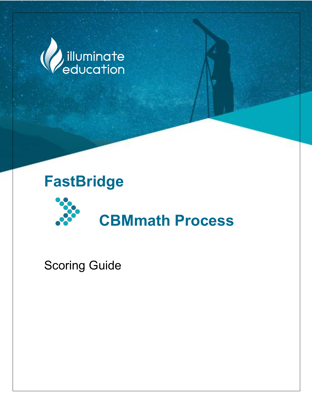

# FAST early Reading Terms of the Company of the Company of the Company of the Company of the Company of the Company of the Company of the Company of the Company of the Company of the Company of the Company of the Company of **FastBridge**



Scoring Guide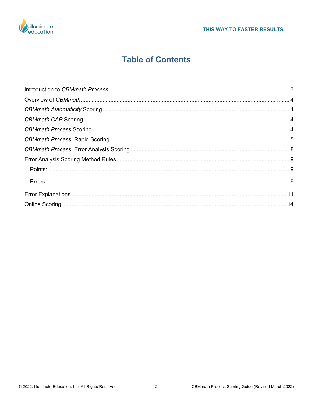

## **Table of Contents**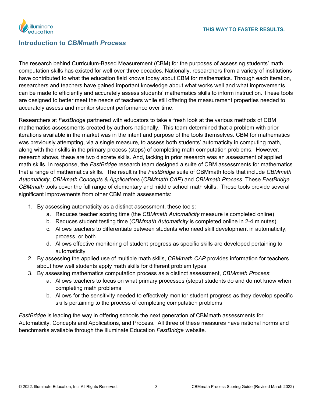

## <span id="page-2-0"></span>**Introduction to** *CBMmath Process*

The research behind Curriculum-Based Measurement (CBM) for the purposes of assessing students' math computation skills has existed for well over three decades. Nationally, researchers from a variety of institutions have contributed to what the education field knows today about CBM for mathematics. Through each iteration, researchers and teachers have gained important knowledge about what works well and what improvements can be made to efficiently and accurately assess students' mathematics skills to inform instruction. These tools are designed to better meet the needs of teachers while still offering the measurement properties needed to accurately assess and monitor student performance over time.

Researchers at *FastBridge* partnered with educators to take a fresh look at the various methods of CBM mathematics assessments created by authors nationally. This team determined that a problem with prior iterations available in the market was in the intent and purpose of the tools themselves. CBM for mathematics was previously attempting, via a single measure, to assess both students' automaticity in computing math, along with their skills in the primary process (steps) of completing math computation problems. However, research shows, these are two discrete skills. And, lacking in prior research was an assessment of applied math skills. In response, the *FastBridge* research team designed a suite of CBM assessments for mathematics that a range of mathematics skills. The result is the *FastBridge* suite of CBMmath tools that include *CBMmath Automaticity*, *CBMmath Concepts & Applications* (*CBMmath CAP*) and *CBMmath Process*. These *FastBridge CBMmath* tools cover the full range of elementary and middle school math skills. These tools provide several significant improvements from other CBM math assessments:

- 1. By assessing automaticity as a distinct assessment, these tools:
	- a. Reduces teacher scoring time (the *CBMmath Automaticity* measure is completed online)
	- b. Reduces student testing time (*CBMmath Automaticity* is completed online in 2-4 minutes)
	- c. Allows teachers to differentiate between students who need skill development in automaticity, process, or both
	- d. Allows effective monitoring of student progress as specific skills are developed pertaining to automaticity
- 2. By assessing the applied use of multiple math skills, *CBMmath CAP* provides information for teachers about how well students apply math skills for different problem types
- 3. By assessing mathematics computation process as a distinct assessment, *CBMmath Process*:
	- a. Allows teachers to focus on what primary processes (steps) students do and do not know when completing math problems
	- b. Allows for the sensitivity needed to effectively monitor student progress as they develop specific skills pertaining to the process of completing computation problems

*FastBridge* is leading the way in offering schools the next generation of CBMmath assessments for Automaticity, Concepts and Applications, and Process. All three of these measures have national norms and benchmarks available through the Illuminate Education *FastBridge* website.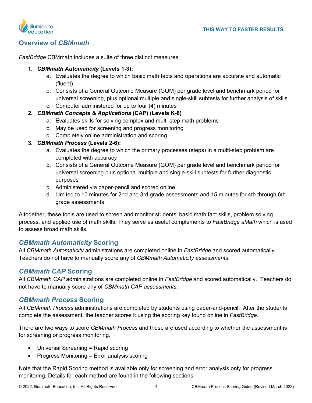

## **Overview of** *CBMmath*

*FastBridge* CBMmath includes a suite of three distinct measures:

#### **1.** *CBMmath Automaticity* **(Levels 1-3):**

- <span id="page-3-0"></span>a. Evaluates the degree to which basic math facts and operations are accurate and automatic (fluent)
- b. Consists of a General Outcome Measure (GOM) per grade level and benchmark period for universal screening, plus optional multiple and single-skill subtests for further analysis of skills
- c. Computer administered for up to four (4) minutes

#### **2.** *CBMmath Concepts & Applications* **(CAP) (Levels K-8)**

- a. Evaluates skills for solving complex and multi-step math problems
- b. May be used for screening and progress monitoring
- c. Completely online administration and scoring

#### **3.** *CBMmath Process* **(Levels 2-6):**

- a. Evaluates the degree to which the primary processes (steps) in a multi-step problem are completed with accuracy
- b. Consists of a General Outcome Measure (GOM) per grade level and benchmark period for universal screening plus optional multiple and single-skill subtests for further diagnostic purposes
- c. Administered via paper-pencil and scored online
- <span id="page-3-1"></span>d. Limited to 10 minutes for 2nd and 3rd grade assessments and 15 minutes for 4th through 6th grade assessments

Altogether, these tools are used to screen and monitor students' basic math fact skills, problem solving process, and applied use of math skills. They serve as useful complements to *FastBridge aMath* which is used to assess broad math skills.

### *CBMmath Automaticity* **Scoring**

All *CBMmath Automaticity* administrations are completed online in *FastBridge* and scored automatically. Teachers do not have to manually score any of *CBMmath Automaticity assessments*.

### <span id="page-3-2"></span>*CBMmath CAP* **Scoring**

All *CBMmath CAP* administrations are completed online in *FastBridge* and scored automatically. Teachers do not have to manually score any of *CBMmath CAP assessments*.

### <span id="page-3-3"></span>*CBMmath Process* **Scoring**

All *CBMmath Process* administrations are completed by students using paper-and-pencil. After the students complete the assessment, the teacher scores it using the scoring key found online in *FastBridge*.

There are two ways to score *CBMmath Process* and these are used according to whether the assessment is for screening or progress monitoring.

- Universal Screening = Rapid scoring
- Progress Monitoring = Error analysis scoring

Note that the Rapid Scoring method is available only for screening and error analysis only for progress monitoring. Details for each method are found in the following sections.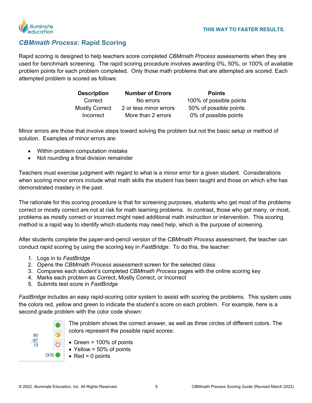

## *CBMmath Process***: Rapid Scoring**

Rapid scoring is designed to help teachers score completed *CBMmath Process* assessments when they are used for benchmark screening. The rapid scoring procedure involves awarding 0%, 50%, or 100% of available problem points for each problem completed. Only those math problems that are attempted are scored. Each attempted problem is scored as follows:

<span id="page-4-0"></span>

| <b>Description</b>    | <b>Number of Errors</b> | <b>Points</b>           |
|-----------------------|-------------------------|-------------------------|
| Correct               | No errors               | 100% of possible points |
| <b>Mostly Correct</b> | 2 or less minor errors  | 50% of possible points  |
| Incorrect             | More than 2 errors      | 0% of possible points   |

Minor errors are those that involve steps toward solving the problem but not the basic setup or method of solution. Examples of minor errors are:

- Within problem computation mistake
- Not rounding a final division remainder

Teachers must exercise judgment with regard to what is a minor error for a given student. Considerations when scoring minor errors include what math skills the student has been taught and those on which s/he has demonstrated mastery in the past.

The rationale for this scoring procedure is that for screening purposes, students who get most of the problems correct or mostly correct are not at risk for math learning problems. In contrast, those who get many, or most, problems as mostly correct or incorrect might need additional math instruction or intervention. This scoring method is a rapid way to identify which students may need help, which is the purpose of screening.

After students complete the paper-and-pencil version of the *CBMmath Process* assessment, the teacher can conduct rapid scoring by using the scoring key in *FastBridge*. To do this, the teacher:

- 1. Logs in to *FastBridge*
- 2. Opens the *CBMmath Process* assessment screen for the selected class
- 3. Compares each student's completed *CBMmath Process* pages with the online scoring key
- 4. Marks each problem as Correct, Mostly Correct, or Incorrect
- 5. Submits test score in *FastBridge*

*FastBridge* includes an easy rapid-scoring color system to assist with scoring the problems. This system uses the colors red, yellow and green to indicate the student's score on each problem. For example, here is a second grade problem with the color code shown:



- The problem shows the correct answer, as well as three circles of different colors. The colors represent the possible rapid scores:
- Green = 100% of points
- Yellow =  $50\%$  of points
- $Red = 0$  points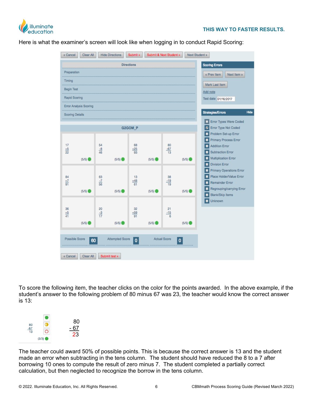

Here is what the examiner's screen will look like when logging in to conduct Rapid Scoring:



To score the following item, the teacher clicks on the color for the points awarded. In the above example, if the student's answer to the following problem of 80 minus 67 was 23, the teacher would know the correct answer is 13:



The teacher could award 50% of possible points. This is because the correct answer is 13 and the student made an error when subtracting in the tens column. The student should have reduced the 8 to a 7 after borrowing 10 ones to compute the result of zero minus 7. The student completed a partially correct calculation, but then neglected to recognize the borrow in the tens column.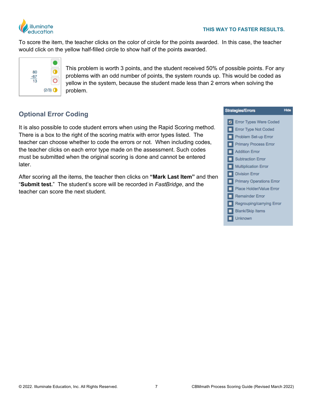

To score the item, the teacher clicks on the color of circle for the points awarded. In this case, the teacher would click on the yellow half-filled circle to show half of the points awarded.



This problem is worth 3 points, and the student received 50% of possible points. For any problems with an odd number of points, the system rounds up. This would be coded as yellow in the system, because the student made less than 2 errors when solving the problem.

## **Optional Error Coding**

It is also possible to code student errors when using the Rapid Scoring method. There is a box to the right of the scoring matrix with error types listed. The teacher can choose whether to code the errors or not. When including codes, the teacher clicks on each error type made on the assessment. Such codes must be submitted when the original scoring is done and cannot be entered later.

After scoring all the items, the teacher then clicks on **"Mark Last Item"** and then "**Submit test.**" The student's score will be recorded in *FastBridge*, and the teacher can score the next student.

|                | <b>Strategies/Errors</b>        | Hide |
|----------------|---------------------------------|------|
| $\overline{a}$ | <b>Error Types Were Coded</b>   |      |
|                | <b>Error Type Not Coded</b>     |      |
|                | Problem Set-up Error            |      |
|                | <b>Primary Process Error</b>    |      |
|                | <b>Addition Error</b>           |      |
| ■              | <b>Subtraction Error</b>        |      |
|                | <b>Multiplication Error</b>     |      |
|                | <b>Division Error</b>           |      |
|                | <b>Primary Operations Error</b> |      |
| ▀              | Place Holder/Value Error        |      |
|                | <b>Remainder Error</b>          |      |
|                | Regrouping/carrying Error       |      |
|                | <b>Blank/Skip Items</b>         |      |
|                | Unknown                         |      |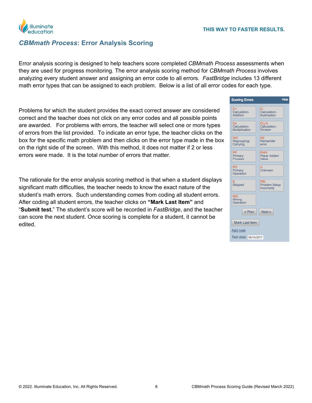

## *CBMmath Process***: Error Analysis Scoring**

Error analysis scoring is designed to help teachers score completed *CBMmath Process* assessments when they are used for progress monitoring. The error analysis scoring method for *CBMmath Process* involves analyzing every student answer and assigning an error code to all errors. *FastBridge* includes 13 different math error types that can be assigned to each problem. Below is a list of all error codes for each type.

Problems for which the student provides the exact correct answer are considered correct and the teacher does not click on any error codes and all possible points are awarded. For problems with errors, the teacher will select one or more types of errors from the list provided. To indicate an error type, the teacher clicks on the box for the specific math problem and then clicks on the error type made in the box on the right side of the screen. With this method, it does not matter if 2 or less errors were made. It is the total number of errors that matter.

The rationale for the error analysis scoring method is that when a student displays significant math difficulties, the teacher needs to know the exact nature of the student's math errors. Such understanding comes from coding all student errors. After coding all student errors, the teacher clicks on **"Mark Last Item"** and "**Submit test.**" The student's score will be recorded in *FastBridge*, and the teacher can score the next student. Once scoring is complete for a student, it cannot be edited.

<span id="page-7-0"></span>

| <b>Scoring Errors</b>                   | Hide                                                                         |  |
|-----------------------------------------|------------------------------------------------------------------------------|--|
| $C+$<br>Calculation-<br><b>Addition</b> | c-<br>Calculation-<br>Subtraction                                            |  |
| Cx<br>Calculation-<br>Multiplication    | $\mathrm{C} \mathrm{i} \chi \mathrm{V}_2$<br>Calculation-<br><b>Division</b> |  |
| <b>R/C</b><br>Regrouping/<br>Carrying   | RE<br>Remainder<br>error                                                     |  |
| PP<br>Primary<br>Process                | <b>PH/V</b><br>Place Holder/<br>Value                                        |  |
| PO<br>Primary<br>Operation              | U<br>Unknown                                                                 |  |
| <b>Skipped</b>                          | PSI<br><b>Problem Setup</b><br>Incorrectly                                   |  |
| <b>WO</b><br>Wrong<br>Operation         |                                                                              |  |
| « Prev                                  | Next »                                                                       |  |
| <b>Mark Last Item</b>                   |                                                                              |  |
| Add note                                |                                                                              |  |
| Test date: 06/14/2017                   |                                                                              |  |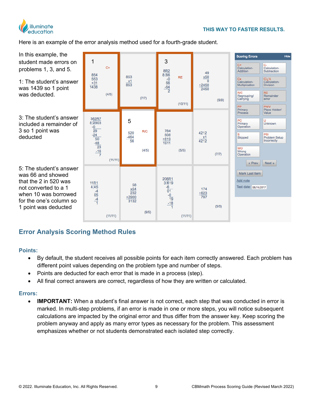

Here is an example of the error analysis method used for a fourth-grade student.



## **Error Analysis Scoring Method Rules**

#### **Points:**

- <span id="page-8-1"></span><span id="page-8-0"></span>• By default, the student receives all possible points for each item correctly answered. Each problem has different point values depending on the problem type and number of steps.
- Points are deducted for each error that is made in a process (step).
- All final correct answers are correct, regardless of how they are written or calculated.

#### **Errors:**

<span id="page-8-2"></span>**IMPORTANT:** When a student's final answer is not correct, each step that was conducted in error is marked. In multi-step problems, if an error is made in one or more steps, you will notice subsequent calculations are impacted by the original error and thus differ from the answer key. Keep scoring the problem anyway and apply as many error types as necessary for the problem. This assessment emphasizes whether or not students demonstrated each isolated step correctly.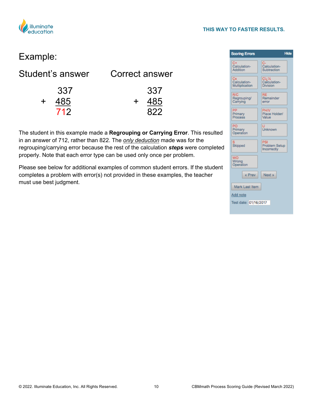

#### **THIS WAY TO FASTER RESULTS.**

# Example:

| Student's answer  | Correct answer              |
|-------------------|-----------------------------|
| 337<br>485<br>712 | 337<br>485<br>$\div$<br>822 |

The student in this example made a **Regrouping or Carrying Error**. This resulted in an answer of 712, rather than 822. The *only deduction* made was for the regrouping/carrying error because the rest of the calculation *steps* were completed properly. Note that each error type can be used only once per problem.

Please see below for additional examples of common student errors. If the student completes a problem with error(s) not provided in these examples, the teacher must use best judgment.

| <b>Scoring Errors</b>                 | <b>Hide</b>                             |  |
|---------------------------------------|-----------------------------------------|--|
| С<br>Calculation-<br>Addition         | Calculation-<br>Subtraction             |  |
| Сx<br>Calculation-<br>Multiplication  | Cig%<br>Calculation-<br><b>Division</b> |  |
| <b>R/C</b><br>Regrouping/<br>Carrying | RE<br>Remainder<br>error                |  |
| PP<br>Primary<br>Process              | PH/V<br>Place Holder/<br>Value          |  |
| PO<br>Primary<br>Operation            | <b>Unknown</b>                          |  |
| Skipped                               | PSI<br>Problem Setup<br>Incorrectly     |  |
| WO<br>Wrong<br>Operation              |                                         |  |
| « Prev                                | Next »                                  |  |
| Mark Last Item                        |                                         |  |
| Add note                              |                                         |  |
| Test date: 01/16/2017                 |                                         |  |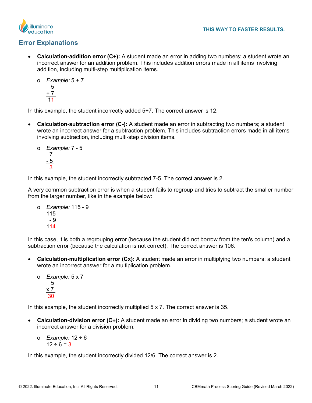



## **Error Explanations**

- <span id="page-10-0"></span>**Calculation-addition error (C+):** A student made an error in adding two numbers; a student wrote an incorrect answer for an addition problem. This includes addition errors made in all items involving addition, including multi-step multiplication items.
	- o *Example:* 5 + 7 5 + 7 11

In this example, the student incorrectly added 5+7. The correct answer is 12.

- **Calculation-subtraction error (C-):** A student made an error in subtracting two numbers; a student wrote an incorrect answer for a subtraction problem. This includes subtraction errors made in all items involving subtraction, including multi-step division items.
	- o *Example:* 7 5 7  $-5$ 3

In this example, the student incorrectly subtracted 7-5. The correct answer is 2.

A very common subtraction error is when a student fails to regroup and tries to subtract the smaller number from the larger number, like in the example below:

o *Example:* 115 - 9 115  $-9$ 114

In this case, it is both a regrouping error (because the student did not borrow from the ten's column) and a subtraction error (because the calculation is not correct). The correct answer is 106.

• **Calculation-multiplication error (Cx):** A student made an error in multiplying two numbers; a student wrote an incorrect answer for a multiplication problem.

```
o Example: 5 x 7
   5
x 7
 30
```
In this example, the student incorrectly multiplied 5 x 7. The correct answer is 35.

- **Calculation-division error (C÷):** A student made an error in dividing two numbers; a student wrote an incorrect answer for a division problem.
	- o *Example:* 12 ÷ 6  $12 \div 6 = 3$

In this example, the student incorrectly divided 12/6. The correct answer is 2.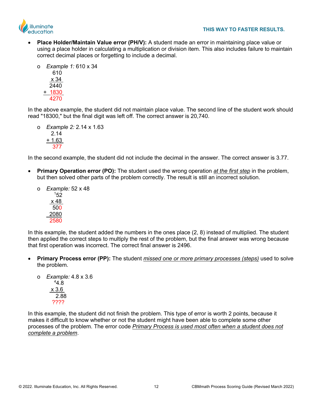



• **Place Holder/Maintain Value error (PH/V):** A student made an error in maintaining place value or using a place holder in calculating a multiplication or division item. This also includes failure to maintain correct decimal places or forgetting to include a decimal.

```
o Example 1: 610 x 34
      610
   \overline{\mathsf{x}} 34
    2440
 + 1830
    4270
```
In the above example, the student did not maintain place value. The second line of the student work should read "18300," but the final digit was left off. The correct answer is 20,740.

o *Example 2:* 2.14 x 1.63 2.14 + 1.63 377

In the second example, the student did not include the decimal in the answer. The correct answer is 3.77.

- **Primary Operation error (PO):** The student used the wrong operation *at the first step* in the problem, but then solved other parts of the problem correctly. The result is still an incorrect solution.
	- o *Example:* 52 x 48  $152$  $x$  48 500 2080 2580

In this example, the student added the numbers in the ones place (2, 8) instead of multiplied. The student then applied the correct steps to multiply the rest of the problem, but the final answer was wrong because that first operation was incorrect. The correct final answer is 2496.

• **Primary Process error (PP):** The student *missed one or more primary processes (steps)* used to solve the problem.

o *Example:* 4.8 x 3.6  $44.8$  x 3.6 2.88 ????

In this example, the student did not finish the problem. This type of error is worth 2 points, because it makes it difficult to know whether or not the student might have been able to complete some other processes of the problem. The error code *Primary Process is used most often when a student does not complete a problem*.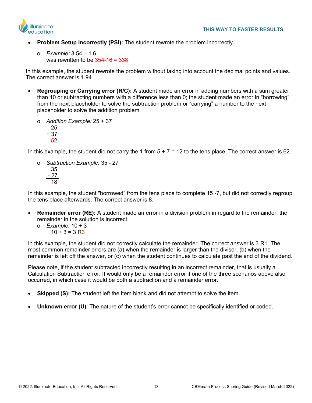

- **Problem Setup Incorrectly (PSI):** The student rewrote the problem incorrectly.
	- o *Example:* 3.54 1.6 was rewritten to be 354-16 = 338

 In this example, the student rewrote the problem without taking into account the decimal points and values. The correct answer is 1.94

- **Regrouping or Carrying error (R/C):** A student made an error in adding numbers with a sum greater than 10 or subtracting numbers with a difference less than 0; the student made an error in "borrowing" from the next placeholder to solve the subtraction problem or "carrying" a number to the next placeholder to solve the addition problem.
	- o *Addition Example:* 25 + 37 25 + 37 52

In this example, the student did not carry the 1 from  $5 + 7 = 12$  to the tens place. The correct answer is 62.

o *Subtraction Example:* 35 - 27 35  $-27$ 18

In this example, the student "borrowed" from the tens place to complete 15 -7, but did not correctly regroup the tens place afterwards. The correct answer is 8.

- **Remainder error (RE):** A student made an error in a division problem in regard to the remainder; the remainder in the solution is incorrect.
	- o *Example:* 10 ÷ 3  $10 \div 3 = 3$  R3

In this example, the student did not correctly calculate the remainder. The correct answer is 3 R1. The most common remainder errors are (a) when the remainder is larger than the divisor, (b) when the remainder is left off the answer, or (c) when the student continues to calculate past the end of the dividend.

Please note, if the student subtracted incorrectly resulting in an incorrect remainder, that is usually a Calculation Subtraction error. It would only be a remainder error if one of the three scenarios above also occurred, in which case it would be both a subtraction and a remainder error.

- **Skipped (S):** The student left the item blank and did not attempt to solve the item.
- **Unknown error (U)**: The nature of the student's error cannot be specifically identified or coded.